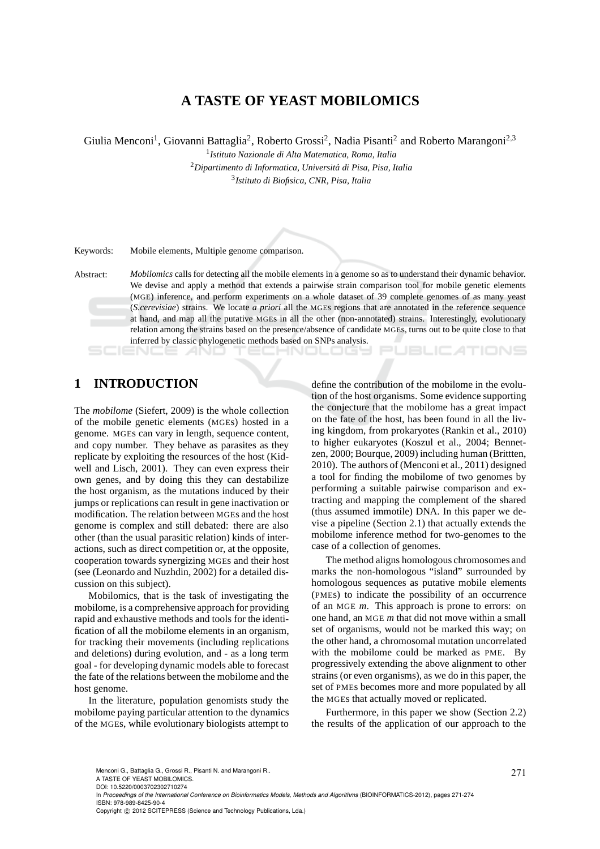# **A TASTE OF YEAST MOBILOMICS**

Giulia Menconi<sup>1</sup>, Giovanni Battaglia<sup>2</sup>, Roberto Grossi<sup>2</sup>, Nadia Pisanti<sup>2</sup> and Roberto Marangoni<sup>2,3</sup>

1 *Istituto Nazionale di Alta Matematica, Roma, Italia* <sup>2</sup>*Dipartimento di Informatica, Universit´a di Pisa, Pisa, Italia* 3 *Istituto di Biofisica, CNR, Pisa, Italia*

Keywords: Mobile elements, Multiple genome comparison.

Abstract: *Mobilomics* calls for detecting all the mobile elements in a genome so as to understand their dynamic behavior. We devise and apply a method that extends a pairwise strain comparison tool for mobile genetic elements (MGE) inference, and perform experiments on a whole dataset of 39 complete genomes of as many yeast (*S.cerevisiae*) strains. We locate *a priori* all the MGEs regions that are annotated in the reference sequence at hand, and map all the putative MGEs in all the other (non-annotated) strains. Interestingly, evolutionary relation among the strains based on the presence/absence of candidate MGEs, turns out to be quite close to that inferred by classic phylogenetic methods based on SNPs analysis. **JBLIC ATIONS** 

-INOLOGY

## **1 INTRODUCTION**

The *mobilome* (Siefert, 2009) is the whole collection of the mobile genetic elements (MGEs) hosted in a genome. MGEs can vary in length, sequence content, and copy number. They behave as parasites as they replicate by exploiting the resources of the host (Kidwell and Lisch, 2001). They can even express their own genes, and by doing this they can destabilize the host organism, as the mutations induced by their jumps or replications can result in gene inactivation or modification. The relation between MGEs and the host genome is complex and still debated: there are also other (than the usual parasitic relation) kinds of interactions, such as direct competition or, at the opposite, cooperation towards synergizing MGEs and their host (see (Leonardo and Nuzhdin, 2002) for a detailed discussion on this subject).

Mobilomics, that is the task of investigating the mobilome, is a comprehensive approach for providing rapid and exhaustive methods and tools for the identification of all the mobilome elements in an organism, for tracking their movements (including replications and deletions) during evolution, and - as a long term goal - for developing dynamic models able to forecast the fate of the relations between the mobilome and the host genome.

In the literature, population genomists study the mobilome paying particular attention to the dynamics of the MGEs, while evolutionary biologists attempt to

define the contribution of the mobilome in the evolution of the host organisms. Some evidence supporting the conjecture that the mobilome has a great impact on the fate of the host, has been found in all the living kingdom, from prokaryotes (Rankin et al., 2010) to higher eukaryotes (Koszul et al., 2004; Bennetzen, 2000; Bourque, 2009) including human (Brittten, 2010). The authors of (Menconi et al., 2011) designed a tool for finding the mobilome of two genomes by performing a suitable pairwise comparison and extracting and mapping the complement of the shared (thus assumed immotile) DNA. In this paper we devise a pipeline (Section 2.1) that actually extends the mobilome inference method for two-genomes to the case of a collection of genomes.

The method aligns homologous chromosomes and marks the non-homologous "island" surrounded by homologous sequences as putative mobile elements (PMEs) to indicate the possibility of an occurrence of an MGE *m*. This approach is prone to errors: on one hand, an MGE *m* that did not move within a small set of organisms, would not be marked this way; on the other hand, a chromosomal mutation uncorrelated with the mobilome could be marked as PME. By progressively extending the above alignment to other strains (or even organisms), as we do in this paper, the set of PMEs becomes more and more populated by all the MGEs that actually moved or replicated.

Furthermore, in this paper we show (Section 2.2) the results of the application of our approach to the

Menconi G., Battaglia G., Grossi R., Pisanti N. and Marangoni R..  $271$ 

A TASTE OF YEAST MOBILOMICS. DOI: 10.5220/0003702302710274

In *Proceedings of the International Conference on Bioinformatics Models, Methods and Algorithms* (BIOINFORMATICS-2012), pages 271-274 ISBN: 978-989-8425-90-4

Copyright © 2012 SCITEPRESS (Science and Technology Publications, Lda.)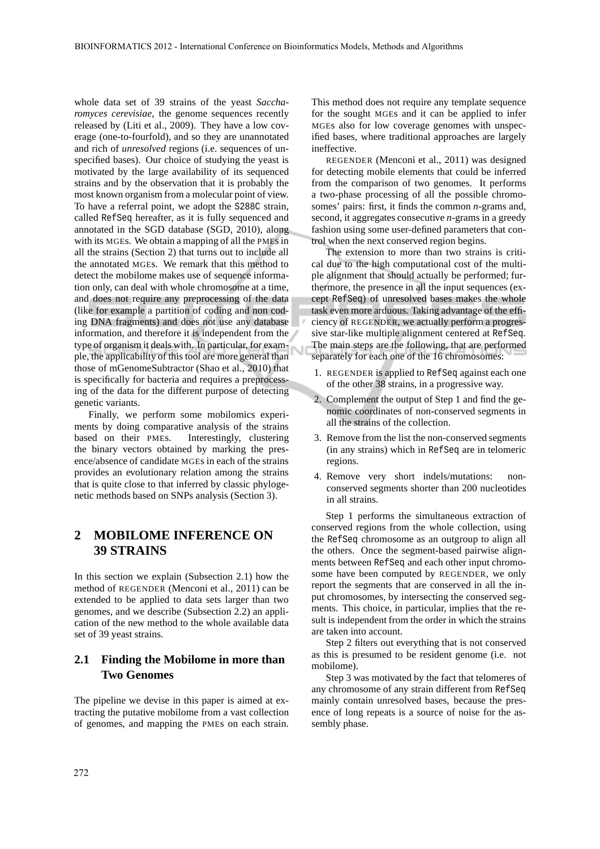whole data set of 39 strains of the yeast *Saccharomyces cerevisiae*, the genome sequences recently released by (Liti et al., 2009). They have a low coverage (one-to-fourfold), and so they are unannotated and rich of *unresolved* regions (i.e. sequences of unspecified bases). Our choice of studying the yeast is motivated by the large availability of its sequenced strains and by the observation that it is probably the most known organism from a molecular point of view. To have a referral point, we adopt the S288C strain, called RefSeq hereafter, as it is fully sequenced and annotated in the SGD database (SGD, 2010), along with its MGEs. We obtain a mapping of all the PMEs in all the strains (Section 2) that turns out to include all the annotated MGEs. We remark that this method to detect the mobilome makes use of sequence information only, can deal with whole chromosome at a time, and does not require any preprocessing of the data (like for example a partition of coding and non coding DNA fragments) and does not use any database information, and therefore it is independent from the type of organism it deals with. In particular, for example, the applicability of this tool are more general than those of mGenomeSubtractor (Shao et al., 2010) that is specifically for bacteria and requires a preprocessing of the data for the different purpose of detecting genetic variants.

Finally, we perform some mobilomics experiments by doing comparative analysis of the strains based on their PMEs. Interestingly, clustering the binary vectors obtained by marking the presence/absence of candidate MGEs in each of the strains provides an evolutionary relation among the strains that is quite close to that inferred by classic phylogenetic methods based on SNPs analysis (Section 3).

### **2 MOBILOME INFERENCE ON 39 STRAINS**

In this section we explain (Subsection 2.1) how the method of REGENDER (Menconi et al., 2011) can be extended to be applied to data sets larger than two genomes, and we describe (Subsection 2.2) an application of the new method to the whole available data set of 39 yeast strains.

#### **2.1 Finding the Mobilome in more than Two Genomes**

The pipeline we devise in this paper is aimed at extracting the putative mobilome from a vast collection of genomes, and mapping the PMEs on each strain. This method does not require any template sequence for the sought MGEs and it can be applied to infer MGEs also for low coverage genomes with unspecified bases, where traditional approaches are largely ineffective.

REGENDER (Menconi et al., 2011) was designed for detecting mobile elements that could be inferred from the comparison of two genomes. It performs a two-phase processing of all the possible chromosomes' pairs: first, it finds the common *n*-grams and, second, it aggregates consecutive *n*-grams in a greedy fashion using some user-defined parameters that control when the next conserved region begins.

The extension to more than two strains is critical due to the high computational cost of the multiple alignment that should actually be performed; furthermore, the presence in all the input sequences (except RefSeq) of unresolved bases makes the whole task even more arduous. Taking advantage of the efficiency of REGENDER, we actually perform a progressive star-like multiple alignment centered at RefSeq. The main steps are the following, that are performed separately for each one of the 16 chromosomes:

- 1. REGENDER is applied to RefSeq against each one of the other 38 strains, in a progressive way.
- 2. Complement the output of Step 1 and find the genomic coordinates of non-conserved segments in all the strains of the collection.
- 3. Remove from the list the non-conserved segments (in any strains) which in RefSeq are in telomeric regions.
- 4. Remove very short indels/mutations: nonconserved segments shorter than 200 nucleotides in all strains.

Step 1 performs the simultaneous extraction of conserved regions from the whole collection, using the RefSeq chromosome as an outgroup to align all the others. Once the segment-based pairwise alignments between RefSeq and each other input chromosome have been computed by REGENDER, we only report the segments that are conserved in all the input chromosomes, by intersecting the conserved segments. This choice, in particular, implies that the result is independent from the order in which the strains are taken into account.

Step 2 filters out everything that is not conserved as this is presumed to be resident genome (i.e. not mobilome).

Step 3 was motivated by the fact that telomeres of any chromosome of any strain different from RefSeq mainly contain unresolved bases, because the presence of long repeats is a source of noise for the assembly phase.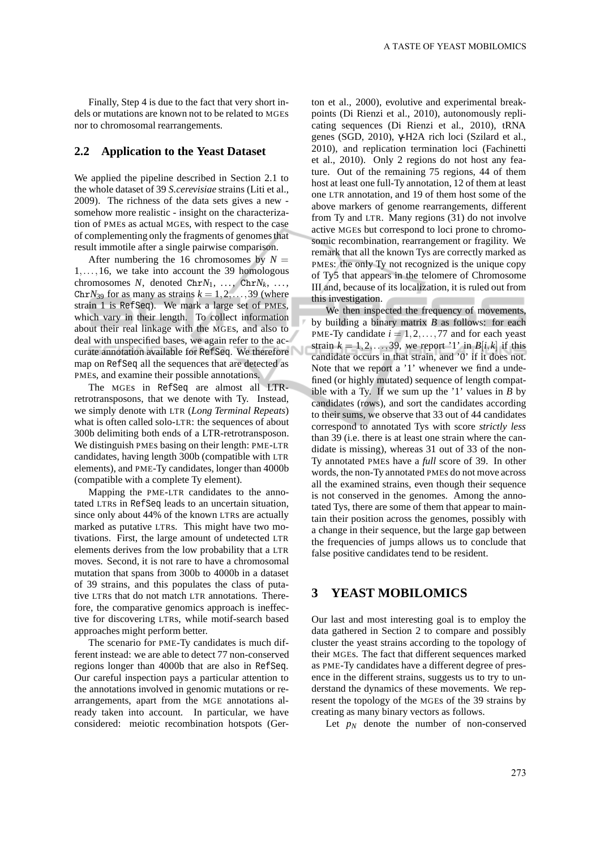Finally, Step 4 is due to the fact that very short indels or mutations are known not to be related to MGEs nor to chromosomal rearrangements.

#### **2.2 Application to the Yeast Dataset**

We applied the pipeline described in Section 2.1 to the whole dataset of 39 *S.cerevisiae* strains (Liti et al., 2009). The richness of the data sets gives a new somehow more realistic - insight on the characterization of PMEs as actual MGEs, with respect to the case of complementing only the fragments of genomes that result immotile after a single pairwise comparison.

After numbering the 16 chromosomes by  $N =$ 1,...,16, we take into account the 39 homologous chromosomes  $N$ , denoted  $ChrN_1$ , ...,  $ChrN_k$ , ..., Chr $N_{39}$  for as many as strains  $k = 1, 2, \ldots, 39$  (where strain 1 is RefSeq). We mark a large set of PMEs, which vary in their length. To collect information about their real linkage with the MGEs, and also to deal with unspecified bases, we again refer to the accurate annotation available for RefSeq. We therefore map on RefSeq all the sequences that are detected as PMEs, and examine their possible annotations.

The MGEs in RefSeq are almost all LTRretrotransposons, that we denote with Ty. Instead, we simply denote with LTR (*Long Terminal Repeats*) what is often called solo-LTR: the sequences of about 300b delimiting both ends of a LTR-retrotransposon. We distinguish PMEs basing on their length: PME-LTR candidates, having length 300b (compatible with LTR elements), and PME-Ty candidates, longer than 4000b (compatible with a complete Ty element).

Mapping the PME-LTR candidates to the annotated LTRs in RefSeq leads to an uncertain situation, since only about 44% of the known LTRs are actually marked as putative LTRs. This might have two motivations. First, the large amount of undetected LTR elements derives from the low probability that a LTR moves. Second, it is not rare to have a chromosomal mutation that spans from 300b to 4000b in a dataset of 39 strains, and this populates the class of putative LTRs that do not match LTR annotations. Therefore, the comparative genomics approach is ineffective for discovering LTRs, while motif-search based approaches might perform better.

The scenario for PME-Ty candidates is much different instead: we are able to detect 77 non-conserved regions longer than 4000b that are also in RefSeq. Our careful inspection pays a particular attention to the annotations involved in genomic mutations or rearrangements, apart from the MGE annotations already taken into account. In particular, we have considered: meiotic recombination hotspots (Gerton et al., 2000), evolutive and experimental breakpoints (Di Rienzi et al., 2010), autonomously replicating sequences (Di Rienzi et al., 2010), tRNA genes (SGD, 2010), γ-H2A rich loci (Szilard et al., 2010), and replication termination loci (Fachinetti et al., 2010). Only 2 regions do not host any feature. Out of the remaining 75 regions, 44 of them host at least one full-Ty annotation, 12 of them at least one LTR annotation, and 19 of them host some of the above markers of genome rearrangements, different from Ty and LTR. Many regions (31) do not involve active MGEs but correspond to loci prone to chromosomic recombination, rearrangement or fragility. We remark that all the known Tys are correctly marked as PMEs: the only Ty not recognized is the unique copy of Ty5 that appears in the telomere of Chromosome III and, because of its localization, it is ruled out from this investigation.

We then inspected the frequency of movements, by building a binary matrix *B* as follows: for each PME-Ty candidate  $i = 1, 2, \ldots, 77$  and for each yeast strain  $k = 1, 2, \ldots, 39$ , we report '1' in  $B[i, k]$  if this candidate occurs in that strain, and '0' if it does not. Note that we report a '1' whenever we find a undefined (or highly mutated) sequence of length compatible with a Ty. If we sum up the  $'1'$  values in  $\overline{B}$  by candidates (rows), and sort the candidates according to their sums, we observe that 33 out of 44 candidates correspond to annotated Tys with score *strictly less* than 39 (i.e. there is at least one strain where the candidate is missing), whereas 31 out of 33 of the non-Ty annotated PMEs have a *full* score of 39. In other words, the non-Ty annotated PMEs do not move across all the examined strains, even though their sequence is not conserved in the genomes. Among the annotated Tys, there are some of them that appear to maintain their position across the genomes, possibly with a change in their sequence, but the large gap between the frequencies of jumps allows us to conclude that false positive candidates tend to be resident.

### **3 YEAST MOBILOMICS**

Our last and most interesting goal is to employ the data gathered in Section 2 to compare and possibly cluster the yeast strains according to the topology of their MGEs. The fact that different sequences marked as PME-Ty candidates have a different degree of presence in the different strains, suggests us to try to understand the dynamics of these movements. We represent the topology of the MGEs of the 39 strains by creating as many binary vectors as follows.

Let  $p_N$  denote the number of non-conserved